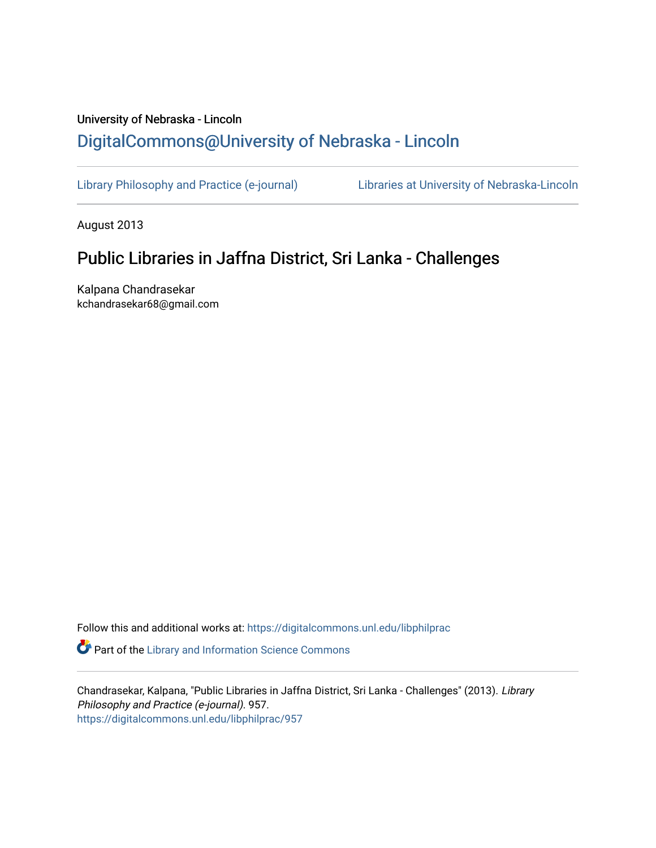# University of Nebraska - Lincoln [DigitalCommons@University of Nebraska - Lincoln](https://digitalcommons.unl.edu/)

[Library Philosophy and Practice \(e-journal\)](https://digitalcommons.unl.edu/libphilprac) [Libraries at University of Nebraska-Lincoln](https://digitalcommons.unl.edu/libraries) 

August 2013

# Public Libraries in Jaffna District, Sri Lanka - Challenges

Kalpana Chandrasekar kchandrasekar68@gmail.com

Follow this and additional works at: [https://digitalcommons.unl.edu/libphilprac](https://digitalcommons.unl.edu/libphilprac?utm_source=digitalcommons.unl.edu%2Flibphilprac%2F957&utm_medium=PDF&utm_campaign=PDFCoverPages) 

**Part of the Library and Information Science Commons** 

Chandrasekar, Kalpana, "Public Libraries in Jaffna District, Sri Lanka - Challenges" (2013). Library Philosophy and Practice (e-journal). 957. [https://digitalcommons.unl.edu/libphilprac/957](https://digitalcommons.unl.edu/libphilprac/957?utm_source=digitalcommons.unl.edu%2Flibphilprac%2F957&utm_medium=PDF&utm_campaign=PDFCoverPages)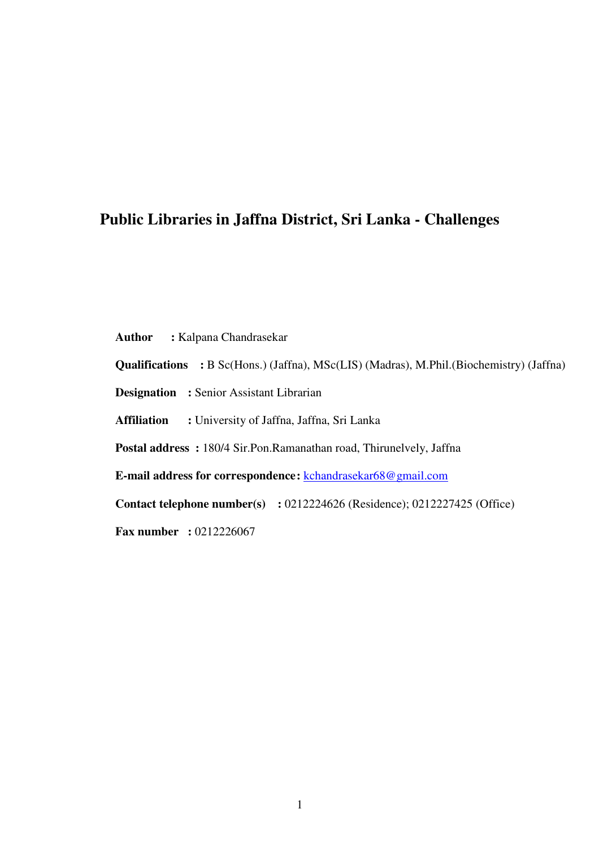## **Public Libraries in Jaffna District, Sri Lanka - Challenges**

**Author :** Kalpana Chandrasekar

**Qualifications :** B Sc(Hons.) (Jaffna), MSc(LIS) (Madras), M.Phil.(Biochemistry) (Jaffna)

**Designation** : Senior Assistant Librarian

**Affiliation :** University of Jaffna, Jaffna, Sri Lanka

**Postal address :** 180/4 Sir.Pon.Ramanathan road, Thirunelvely, Jaffna

**E-mail address for correspondence :** kchandrasekar68@gmail.com

**Contact telephone number(s) :** 0212224626 (Residence); 0212227425 (Office)

**Fax number : 0212226067**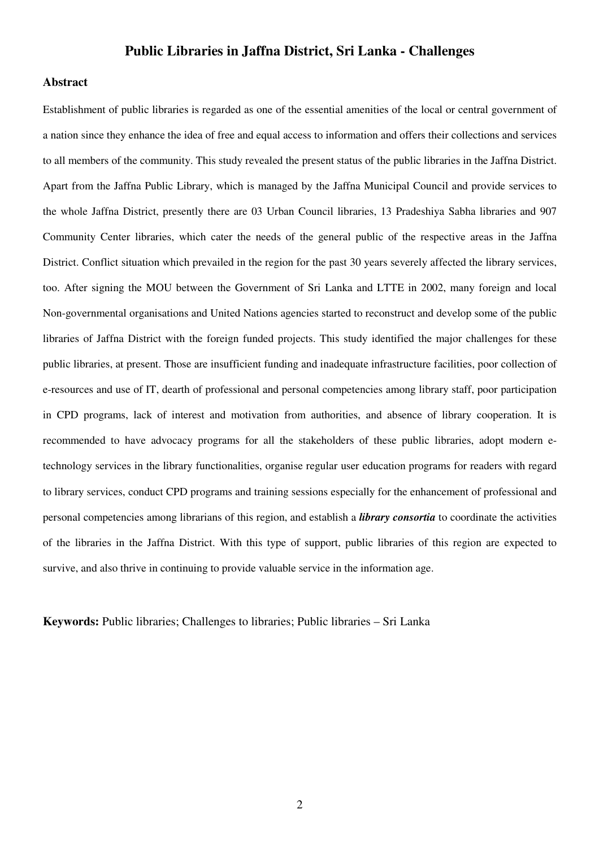## **Public Libraries in Jaffna District, Sri Lanka - Challenges**

## **Abstract**

Establishment of public libraries is regarded as one of the essential amenities of the local or central government of a nation since they enhance the idea of free and equal access to information and offers their collections and services to all members of the community. This study revealed the present status of the public libraries in the Jaffna District. Apart from the Jaffna Public Library, which is managed by the Jaffna Municipal Council and provide services to the whole Jaffna District, presently there are 03 Urban Council libraries, 13 Pradeshiya Sabha libraries and 907 Community Center libraries, which cater the needs of the general public of the respective areas in the Jaffna District. Conflict situation which prevailed in the region for the past 30 years severely affected the library services, too. After signing the MOU between the Government of Sri Lanka and LTTE in 2002, many foreign and local Non-governmental organisations and United Nations agencies started to reconstruct and develop some of the public libraries of Jaffna District with the foreign funded projects. This study identified the major challenges for these public libraries, at present. Those are insufficient funding and inadequate infrastructure facilities, poor collection of e-resources and use of IT, dearth of professional and personal competencies among library staff, poor participation in CPD programs, lack of interest and motivation from authorities, and absence of library cooperation. It is recommended to have advocacy programs for all the stakeholders of these public libraries, adopt modern etechnology services in the library functionalities, organise regular user education programs for readers with regard to library services, conduct CPD programs and training sessions especially for the enhancement of professional and personal competencies among librarians of this region, and establish a *library consortia* to coordinate the activities of the libraries in the Jaffna District. With this type of support, public libraries of this region are expected to survive, and also thrive in continuing to provide valuable service in the information age.

**Keywords:** Public libraries; Challenges to libraries; Public libraries – Sri Lanka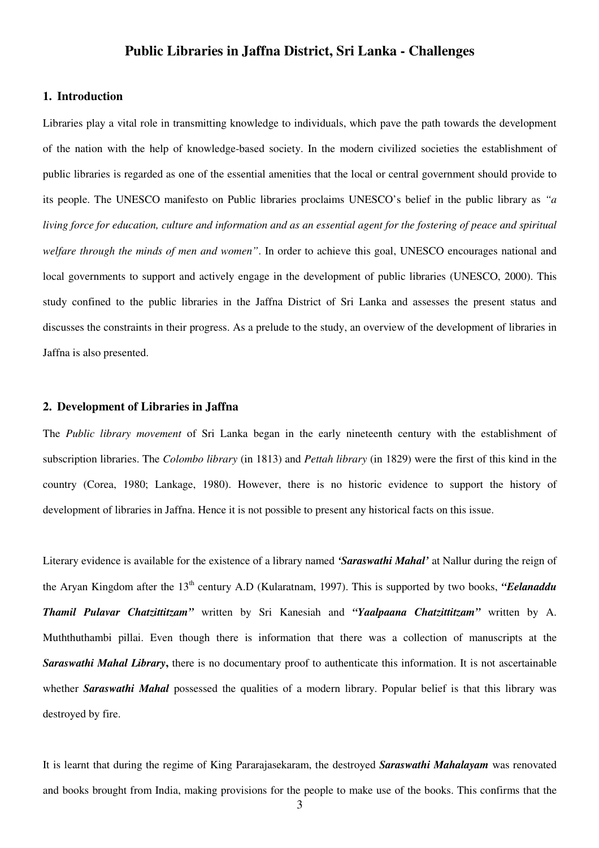## **Public Libraries in Jaffna District, Sri Lanka - Challenges**

## **1. Introduction**

Libraries play a vital role in transmitting knowledge to individuals, which pave the path towards the development of the nation with the help of knowledge-based society. In the modern civilized societies the establishment of public libraries is regarded as one of the essential amenities that the local or central government should provide to its people. The UNESCO manifesto on Public libraries proclaims UNESCO's belief in the public library as *"a living force for education, culture and information and as an essential agent for the fostering of peace and spiritual welfare through the minds of men and women"*. In order to achieve this goal, UNESCO encourages national and local governments to support and actively engage in the development of public libraries (UNESCO, 2000). This study confined to the public libraries in the Jaffna District of Sri Lanka and assesses the present status and discusses the constraints in their progress. As a prelude to the study, an overview of the development of libraries in Jaffna is also presented.

## **2. Development of Libraries in Jaffna**

The *Public library movement* of Sri Lanka began in the early nineteenth century with the establishment of subscription libraries. The *Colombo library* (in 1813) and *Pettah library* (in 1829) were the first of this kind in the country (Corea, 1980; Lankage, 1980). However, there is no historic evidence to support the history of development of libraries in Jaffna. Hence it is not possible to present any historical facts on this issue.

Literary evidence is available for the existence of a library named *'Saraswathi Mahal'* at Nallur during the reign of the Arvan Kingdom after the 13<sup>th</sup> century A.D (Kularatnam, 1997). This is supported by two books, "Eelanaddu *Thamil Pulavar Chatzittitzam"* written by Sri Kanesiah and *"Yaalpaana Chatzittitzam"* written by A. Muththuthambi pillai. Even though there is information that there was a collection of manuscripts at the *Saraswathi Mahal Library***,** there is no documentary proof to authenticate this information. It is not ascertainable whether *Saraswathi Mahal* possessed the qualities of a modern library. Popular belief is that this library was destroyed by fire.

It is learnt that during the regime of King Pararajasekaram, the destroyed *Saraswathi Mahalayam* was renovated and books brought from India, making provisions for the people to make use of the books. This confirms that the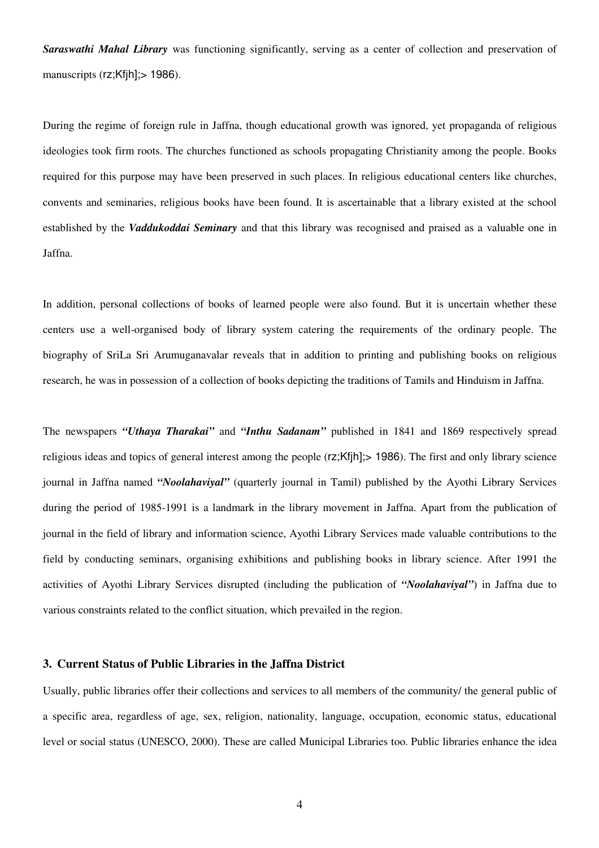*Saraswathi Mahal Library* was functioning significantly, serving as a center of collection and preservation of manuscripts (rz;Kfjh]; > 1986).

During the regime of foreign rule in Jaffna, though educational growth was ignored, yet propaganda of religious ideologies took firm roots. The churches functioned as schools propagating Christianity among the people. Books required for this purpose may have been preserved in such places. In religious educational centers like churches, convents and seminaries, religious books have been found. It is ascertainable that a library existed at the school established by the *Vaddukoddai Seminary* and that this library was recognised and praised as a valuable one in Jaffna.

In addition, personal collections of books of learned people were also found. But it is uncertain whether these centers use a well-organised body of library system catering the requirements of the ordinary people. The biography of SriLa Sri Arumuganavalar reveals that in addition to printing and publishing books on religious research, he was in possession of a collection of books depicting the traditions of Tamils and Hinduism in Jaffna.

The newspapers *"Uthaya Tharakai"* and *"Inthu Sadanam"* published in 1841 and 1869 respectively spread religious ideas and topics of general interest among the people (rz;Kfjh];> 1986). The first and only library science journal in Jaffna named *"Noolahaviyal"* (quarterly journal in Tamil) published by the Ayothi Library Services during the period of 1985-1991 is a landmark in the library movement in Jaffna. Apart from the publication of journal in the field of library and information science, Ayothi Library Services made valuable contributions to the field by conducting seminars, organising exhibitions and publishing books in library science. After 1991 the activities of Ayothi Library Services disrupted (including the publication of *"Noolahaviyal"*) in Jaffna due to various constraints related to the conflict situation, which prevailed in the region.

## **3. Current Status of Public Libraries in the Jaffna District**

Usually, public libraries offer their collections and services to all members of the community/ the general public of a specific area, regardless of age, sex, religion, nationality, language, occupation, economic status, educational level or social status (UNESCO, 2000). These are called Municipal Libraries too. Public libraries enhance the idea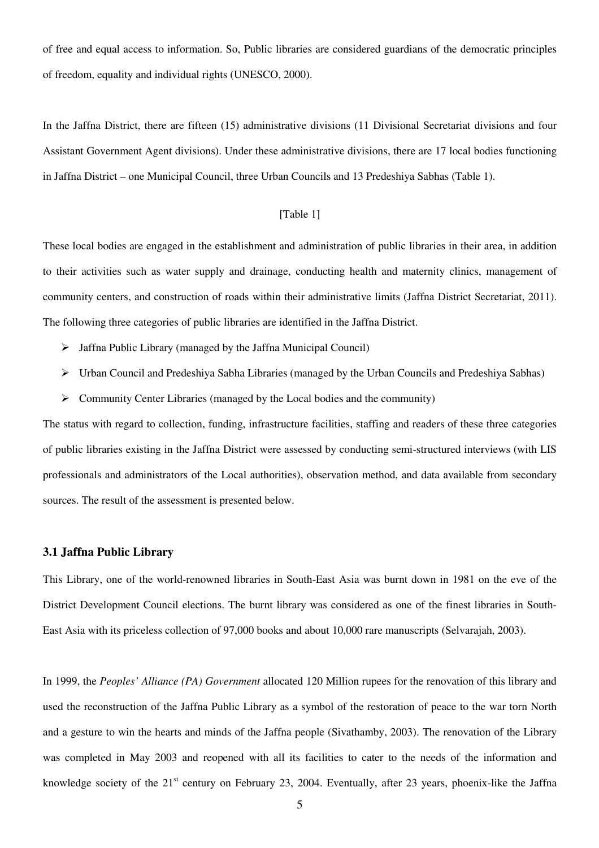of free and equal access to information. So, Public libraries are considered guardians of the democratic principles of freedom, equality and individual rights (UNESCO, 2000).

In the Jaffna District, there are fifteen (15) administrative divisions (11 Divisional Secretariat divisions and four Assistant Government Agent divisions). Under these administrative divisions, there are 17 local bodies functioning in Jaffna District – one Municipal Council, three Urban Councils and 13 Predeshiya Sabhas (Table 1).

## [Table 1]

These local bodies are engaged in the establishment and administration of public libraries in their area, in addition to their activities such as water supply and drainage, conducting health and maternity clinics, management of community centers, and construction of roads within their administrative limits (Jaffna District Secretariat, 2011). The following three categories of public libraries are identified in the Jaffna District.

- $\triangleright$  Jaffna Public Library (managed by the Jaffna Municipal Council)
- $\triangleright$  Urban Council and Predeshiya Sabha Libraries (managed by the Urban Councils and Predeshiya Sabhas)
- $\triangleright$  Community Center Libraries (managed by the Local bodies and the community)

The status with regard to collection, funding, infrastructure facilities, staffing and readers of these three categories of public libraries existing in the Jaffna District were assessed by conducting semi-structured interviews (with LIS professionals and administrators of the Local authorities), observation method, and data available from secondary sources. The result of the assessment is presented below.

#### **3.1 Jaffna Public Library**

This Library, one of the world-renowned libraries in South-East Asia was burnt down in 1981 on the eve of the District Development Council elections. The burnt library was considered as one of the finest libraries in South-East Asia with its priceless collection of 97,000 books and about 10,000 rare manuscripts (Selvarajah, 2003).

In 1999, the *Peoples' Alliance (PA) Government* allocated 120 Million rupees for the renovation of this library and used the reconstruction of the Jaffna Public Library as a symbol of the restoration of peace to the war torn North and a gesture to win the hearts and minds of the Jaffna people (Sivathamby, 2003). The renovation of the Library was completed in May 2003 and reopened with all its facilities to cater to the needs of the information and knowledge society of the  $21<sup>st</sup>$  century on February 23, 2004. Eventually, after 23 years, phoenix-like the Jaffna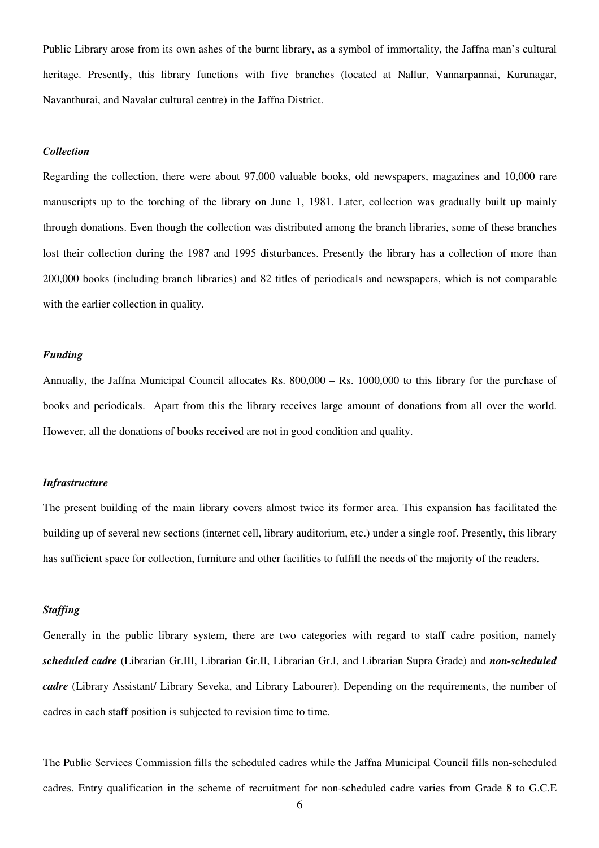Public Library arose from its own ashes of the burnt library, as a symbol of immortality, the Jaffna man's cultural heritage. Presently, this library functions with five branches (located at Nallur, Vannarpannai, Kurunagar, Navanthurai, and Navalar cultural centre) in the Jaffna District.

## *Collection*

Regarding the collection, there were about 97,000 valuable books, old newspapers, magazines and 10,000 rare manuscripts up to the torching of the library on June 1, 1981. Later, collection was gradually built up mainly through donations. Even though the collection was distributed among the branch libraries, some of these branches lost their collection during the 1987 and 1995 disturbances. Presently the library has a collection of more than 200,000 books (including branch libraries) and 82 titles of periodicals and newspapers, which is not comparable with the earlier collection in quality.

## *Funding*

Annually, the Jaffna Municipal Council allocates Rs. 800,000 – Rs. 1000,000 to this library for the purchase of books and periodicals. Apart from this the library receives large amount of donations from all over the world. However, all the donations of books received are not in good condition and quality.

#### *Infrastructure*

The present building of the main library covers almost twice its former area. This expansion has facilitated the building up of several new sections (internet cell, library auditorium, etc.) under a single roof. Presently, this library has sufficient space for collection, furniture and other facilities to fulfill the needs of the majority of the readers.

## *Staffing*

Generally in the public library system, there are two categories with regard to staff cadre position, namely *scheduled cadre* (Librarian Gr.III, Librarian Gr.II, Librarian Gr.I, and Librarian Supra Grade) and *non-scheduled cadre* (Library Assistant/ Library Seveka, and Library Labourer). Depending on the requirements, the number of cadres in each staff position is subjected to revision time to time.

The Public Services Commission fills the scheduled cadres while the Jaffna Municipal Council fills non-scheduled cadres. Entry qualification in the scheme of recruitment for non-scheduled cadre varies from Grade 8 to G.C.E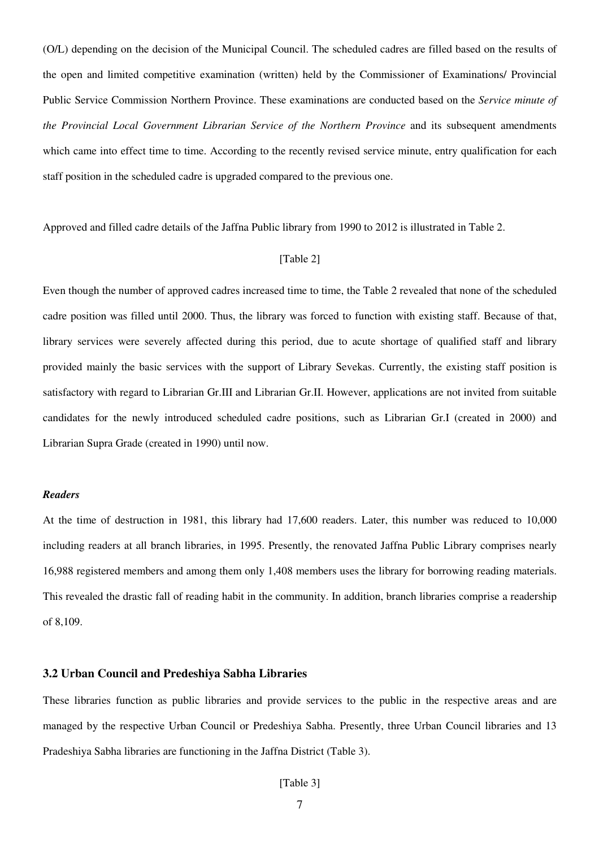(O/L) depending on the decision of the Municipal Council. The scheduled cadres are filled based on the results of the open and limited competitive examination (written) held by the Commissioner of Examinations/ Provincial Public Service Commission Northern Province. These examinations are conducted based on the *Service minute of the Provincial Local Government Librarian Service of the Northern Province* and its subsequent amendments which came into effect time to time. According to the recently revised service minute, entry qualification for each staff position in the scheduled cadre is upgraded compared to the previous one.

Approved and filled cadre details of the Jaffna Public library from 1990 to 2012 is illustrated in Table 2.

## [Table 2]

Even though the number of approved cadres increased time to time, the Table 2 revealed that none of the scheduled cadre position was filled until 2000. Thus, the library was forced to function with existing staff. Because of that, library services were severely affected during this period, due to acute shortage of qualified staff and library provided mainly the basic services with the support of Library Sevekas. Currently, the existing staff position is satisfactory with regard to Librarian Gr.III and Librarian Gr.II. However, applications are not invited from suitable candidates for the newly introduced scheduled cadre positions, such as Librarian Gr.I (created in 2000) and Librarian Supra Grade (created in 1990) until now.

#### *Readers*

At the time of destruction in 1981, this library had 17,600 readers. Later, this number was reduced to 10,000 including readers at all branch libraries, in 1995. Presently, the renovated Jaffna Public Library comprises nearly 16,988 registered members and among them only 1,408 members uses the library for borrowing reading materials. This revealed the drastic fall of reading habit in the community. In addition, branch libraries comprise a readership of 8,109.

## **3.2 Urban Council and Predeshiya Sabha Libraries**

These libraries function as public libraries and provide services to the public in the respective areas and are managed by the respective Urban Council or Predeshiya Sabha. Presently, three Urban Council libraries and 13 Pradeshiya Sabha libraries are functioning in the Jaffna District (Table 3).

[Table 3]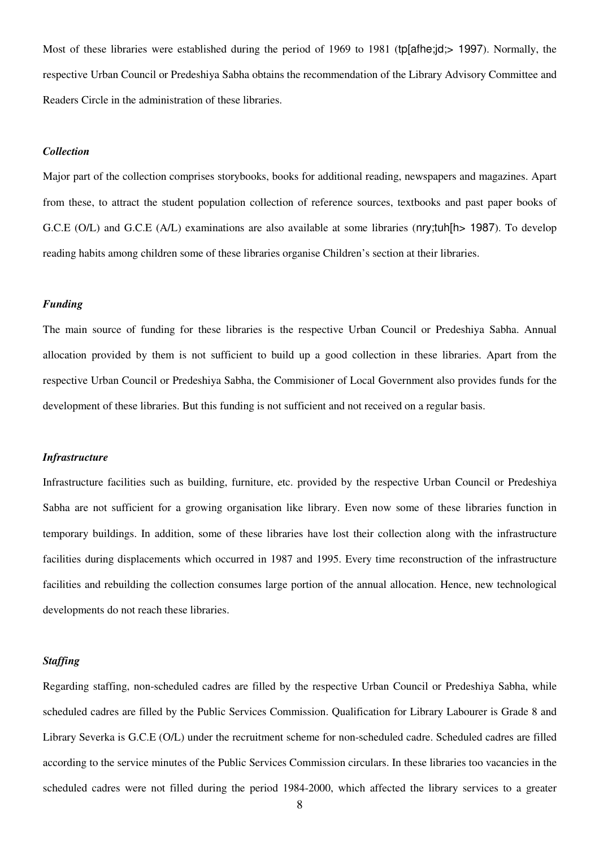Most of these libraries were established during the period of 1969 to 1981 (tp[afhe;jd;> 1997). Normally, the respective Urban Council or Predeshiya Sabha obtains the recommendation of the Library Advisory Committee and Readers Circle in the administration of these libraries.

## *Collection*

Major part of the collection comprises storybooks, books for additional reading, newspapers and magazines. Apart from these, to attract the student population collection of reference sources, textbooks and past paper books of G.C.E (O/L) and G.C.E (A/L) examinations are also available at some libraries (nry;tuh[h> 1987). To develop reading habits among children some of these libraries organise Children's section at their libraries.

#### *Funding*

The main source of funding for these libraries is the respective Urban Council or Predeshiya Sabha. Annual allocation provided by them is not sufficient to build up a good collection in these libraries. Apart from the respective Urban Council or Predeshiya Sabha, the Commisioner of Local Government also provides funds for the development of these libraries. But this funding is not sufficient and not received on a regular basis.

#### *Infrastructure*

Infrastructure facilities such as building, furniture, etc. provided by the respective Urban Council or Predeshiya Sabha are not sufficient for a growing organisation like library. Even now some of these libraries function in temporary buildings. In addition, some of these libraries have lost their collection along with the infrastructure facilities during displacements which occurred in 1987 and 1995. Every time reconstruction of the infrastructure facilities and rebuilding the collection consumes large portion of the annual allocation. Hence, new technological developments do not reach these libraries.

### *Staffing*

Regarding staffing, non-scheduled cadres are filled by the respective Urban Council or Predeshiya Sabha, while scheduled cadres are filled by the Public Services Commission. Qualification for Library Labourer is Grade 8 and Library Severka is G.C.E (O/L) under the recruitment scheme for non-scheduled cadre. Scheduled cadres are filled according to the service minutes of the Public Services Commission circulars. In these libraries too vacancies in the scheduled cadres were not filled during the period 1984-2000, which affected the library services to a greater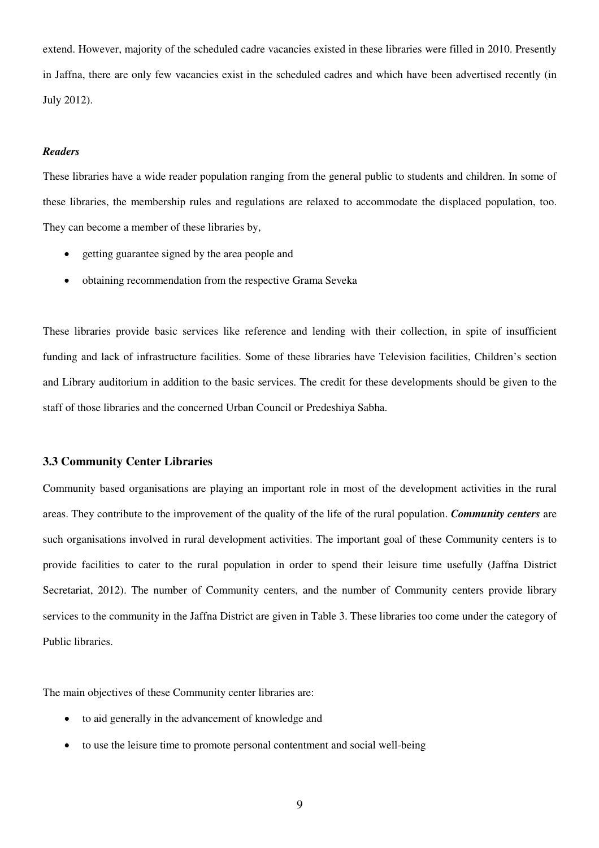extend. However, majority of the scheduled cadre vacancies existed in these libraries were filled in 2010. Presently in Jaffna, there are only few vacancies exist in the scheduled cadres and which have been advertised recently (in July 2012).

## *Readers*

These libraries have a wide reader population ranging from the general public to students and children. In some of these libraries, the membership rules and regulations are relaxed to accommodate the displaced population, too. They can become a member of these libraries by,

- getting guarantee signed by the area people and
- obtaining recommendation from the respective Grama Seveka

These libraries provide basic services like reference and lending with their collection, in spite of insufficient funding and lack of infrastructure facilities. Some of these libraries have Television facilities, Children's section and Library auditorium in addition to the basic services. The credit for these developments should be given to the staff of those libraries and the concerned Urban Council or Predeshiya Sabha.

## **3.3 Community Center Libraries**

Community based organisations are playing an important role in most of the development activities in the rural areas. They contribute to the improvement of the quality of the life of the rural population. *Community centers* are such organisations involved in rural development activities. The important goal of these Community centers is to provide facilities to cater to the rural population in order to spend their leisure time usefully (Jaffna District Secretariat, 2012). The number of Community centers, and the number of Community centers provide library services to the community in the Jaffna District are given in Table 3. These libraries too come under the category of Public libraries.

The main objectives of these Community center libraries are:

- to aid generally in the advancement of knowledge and
- to use the leisure time to promote personal contentment and social well-being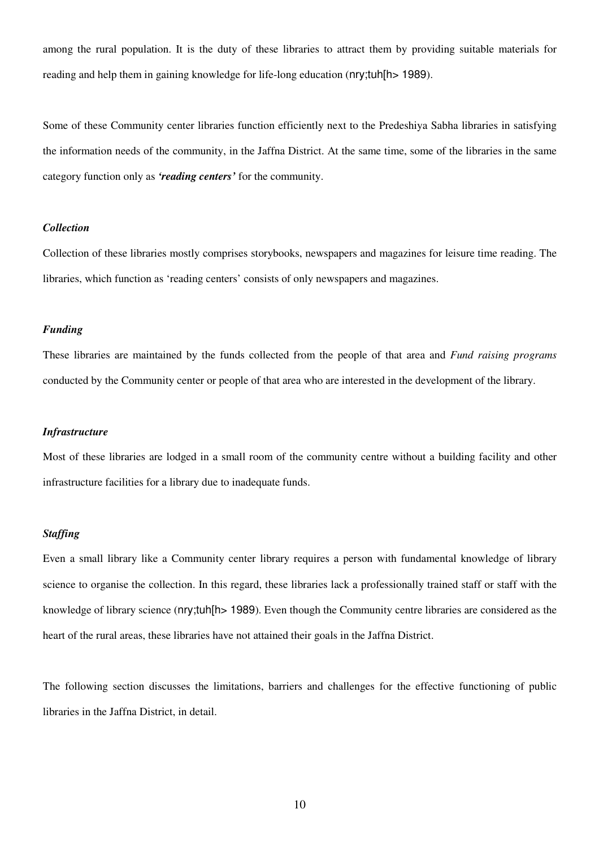among the rural population. It is the duty of these libraries to attract them by providing suitable materials for reading and help them in gaining knowledge for life-long education (nry;tuh[h> 1989).

Some of these Community center libraries function efficiently next to the Predeshiya Sabha libraries in satisfying the information needs of the community, in the Jaffna District. At the same time, some of the libraries in the same category function only as *'reading centers'* for the community.

## *Collection*

Collection of these libraries mostly comprises storybooks, newspapers and magazines for leisure time reading. The libraries, which function as 'reading centers' consists of only newspapers and magazines.

### *Funding*

These libraries are maintained by the funds collected from the people of that area and *Fund raising programs* conducted by the Community center or people of that area who are interested in the development of the library.

#### *Infrastructure*

Most of these libraries are lodged in a small room of the community centre without a building facility and other infrastructure facilities for a library due to inadequate funds.

#### *Staffing*

Even a small library like a Community center library requires a person with fundamental knowledge of library science to organise the collection. In this regard, these libraries lack a professionally trained staff or staff with the knowledge of library science (nry;tuh[h> 1989). Even though the Community centre libraries are considered as the heart of the rural areas, these libraries have not attained their goals in the Jaffna District.

The following section discusses the limitations, barriers and challenges for the effective functioning of public libraries in the Jaffna District, in detail.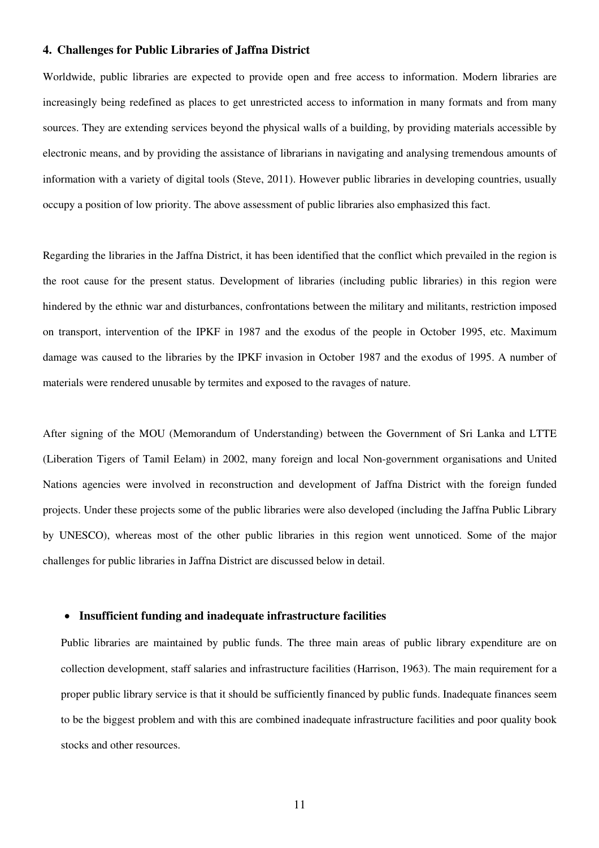## **4. Challenges for Public Libraries of Jaffna District**

Worldwide, public libraries are expected to provide open and free access to information. Modern libraries are increasingly being redefined as places to get unrestricted access to information in many formats and from many sources. They are extending services beyond the physical walls of a building, by providing materials accessible by electronic means, and by providing the assistance of librarians in navigating and analysing tremendous amounts of information with a variety of digital tools (Steve, 2011). However public libraries in developing countries, usually occupy a position of low priority. The above assessment of public libraries also emphasized this fact.

Regarding the libraries in the Jaffna District, it has been identified that the conflict which prevailed in the region is the root cause for the present status. Development of libraries (including public libraries) in this region were hindered by the ethnic war and disturbances, confrontations between the military and militants, restriction imposed on transport, intervention of the IPKF in 1987 and the exodus of the people in October 1995, etc. Maximum damage was caused to the libraries by the IPKF invasion in October 1987 and the exodus of 1995. A number of materials were rendered unusable by termites and exposed to the ravages of nature.

After signing of the MOU (Memorandum of Understanding) between the Government of Sri Lanka and LTTE (Liberation Tigers of Tamil Eelam) in 2002, many foreign and local Non-government organisations and United Nations agencies were involved in reconstruction and development of Jaffna District with the foreign funded projects. Under these projects some of the public libraries were also developed (including the Jaffna Public Library by UNESCO), whereas most of the other public libraries in this region went unnoticed. Some of the major challenges for public libraries in Jaffna District are discussed below in detail.

## • **Insufficient funding and inadequate infrastructure facilities**

Public libraries are maintained by public funds. The three main areas of public library expenditure are on collection development, staff salaries and infrastructure facilities (Harrison, 1963). The main requirement for a proper public library service is that it should be sufficiently financed by public funds. Inadequate finances seem to be the biggest problem and with this are combined inadequate infrastructure facilities and poor quality book stocks and other resources.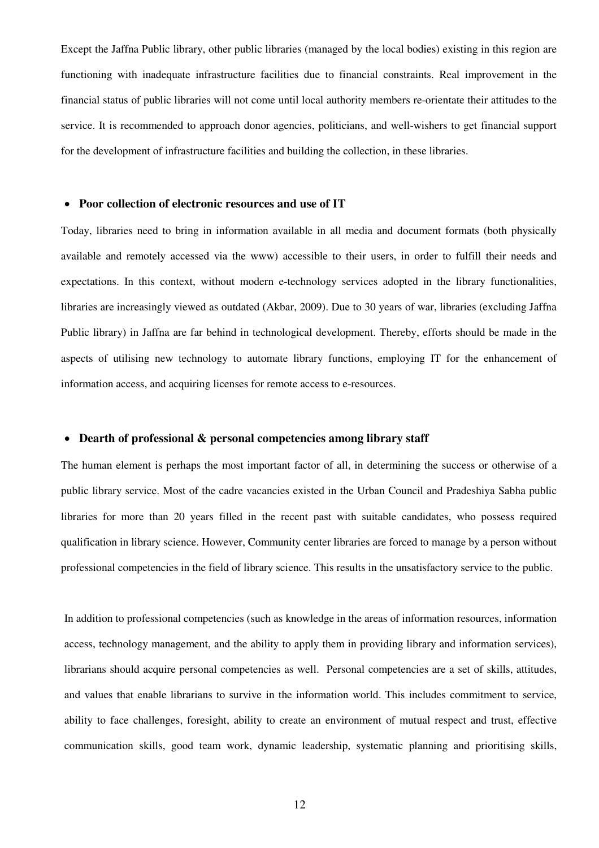Except the Jaffna Public library, other public libraries (managed by the local bodies) existing in this region are functioning with inadequate infrastructure facilities due to financial constraints. Real improvement in the financial status of public libraries will not come until local authority members re-orientate their attitudes to the service. It is recommended to approach donor agencies, politicians, and well-wishers to get financial support for the development of infrastructure facilities and building the collection, in these libraries.

### • **Poor collection of electronic resources and use of IT**

Today, libraries need to bring in information available in all media and document formats (both physically available and remotely accessed via the www) accessible to their users, in order to fulfill their needs and expectations. In this context, without modern e-technology services adopted in the library functionalities, libraries are increasingly viewed as outdated (Akbar, 2009). Due to 30 years of war, libraries (excluding Jaffna Public library) in Jaffna are far behind in technological development. Thereby, efforts should be made in the aspects of utilising new technology to automate library functions, employing IT for the enhancement of information access, and acquiring licenses for remote access to e-resources.

## • **Dearth of professional & personal competencies among library staff**

The human element is perhaps the most important factor of all, in determining the success or otherwise of a public library service. Most of the cadre vacancies existed in the Urban Council and Pradeshiya Sabha public libraries for more than 20 years filled in the recent past with suitable candidates, who possess required qualification in library science. However, Community center libraries are forced to manage by a person without professional competencies in the field of library science. This results in the unsatisfactory service to the public.

In addition to professional competencies (such as knowledge in the areas of information resources, information access, technology management, and the ability to apply them in providing library and information services), librarians should acquire personal competencies as well. Personal competencies are a set of skills, attitudes, and values that enable librarians to survive in the information world. This includes commitment to service, ability to face challenges, foresight, ability to create an environment of mutual respect and trust, effective communication skills, good team work, dynamic leadership, systematic planning and prioritising skills,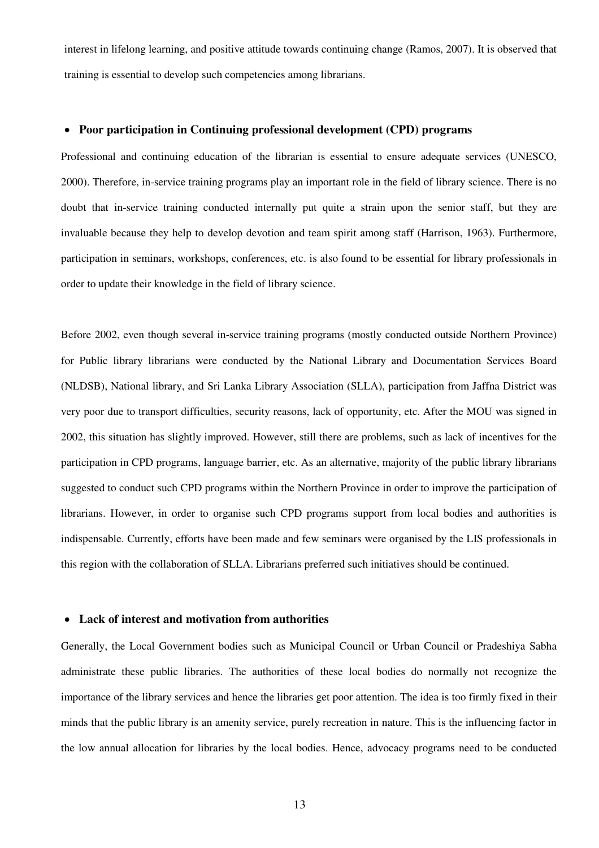interest in lifelong learning, and positive attitude towards continuing change (Ramos, 2007). It is observed that training is essential to develop such competencies among librarians.

## • **Poor participation in Continuing professional development (CPD) programs**

Professional and continuing education of the librarian is essential to ensure adequate services (UNESCO, 2000). Therefore, in-service training programs play an important role in the field of library science. There is no doubt that in-service training conducted internally put quite a strain upon the senior staff, but they are invaluable because they help to develop devotion and team spirit among staff (Harrison, 1963). Furthermore, participation in seminars, workshops, conferences, etc. is also found to be essential for library professionals in order to update their knowledge in the field of library science.

Before 2002, even though several in-service training programs (mostly conducted outside Northern Province) for Public library librarians were conducted by the National Library and Documentation Services Board (NLDSB), National library, and Sri Lanka Library Association (SLLA), participation from Jaffna District was very poor due to transport difficulties, security reasons, lack of opportunity, etc. After the MOU was signed in 2002, this situation has slightly improved. However, still there are problems, such as lack of incentives for the participation in CPD programs, language barrier, etc. As an alternative, majority of the public library librarians suggested to conduct such CPD programs within the Northern Province in order to improve the participation of librarians. However, in order to organise such CPD programs support from local bodies and authorities is indispensable. Currently, efforts have been made and few seminars were organised by the LIS professionals in this region with the collaboration of SLLA. Librarians preferred such initiatives should be continued.

#### • **Lack of interest and motivation from authorities**

Generally, the Local Government bodies such as Municipal Council or Urban Council or Pradeshiya Sabha administrate these public libraries. The authorities of these local bodies do normally not recognize the importance of the library services and hence the libraries get poor attention. The idea is too firmly fixed in their minds that the public library is an amenity service, purely recreation in nature. This is the influencing factor in the low annual allocation for libraries by the local bodies. Hence, advocacy programs need to be conducted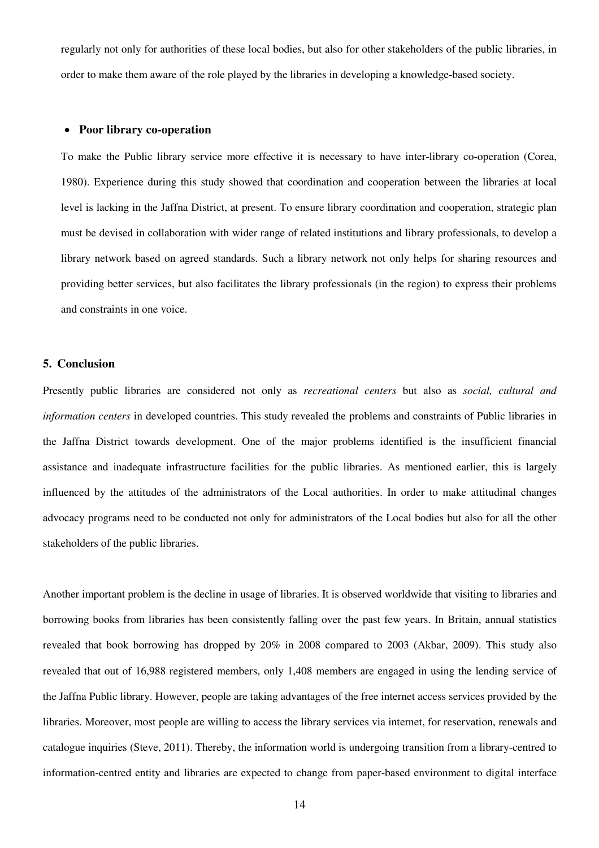regularly not only for authorities of these local bodies, but also for other stakeholders of the public libraries, in order to make them aware of the role played by the libraries in developing a knowledge-based society.

## • **Poor library co-operation**

To make the Public library service more effective it is necessary to have inter-library co-operation (Corea, 1980). Experience during this study showed that coordination and cooperation between the libraries at local level is lacking in the Jaffna District, at present. To ensure library coordination and cooperation, strategic plan must be devised in collaboration with wider range of related institutions and library professionals, to develop a library network based on agreed standards. Such a library network not only helps for sharing resources and providing better services, but also facilitates the library professionals (in the region) to express their problems and constraints in one voice.

## **5. Conclusion**

Presently public libraries are considered not only as *recreational centers* but also as *social, cultural and information centers* in developed countries. This study revealed the problems and constraints of Public libraries in the Jaffna District towards development. One of the major problems identified is the insufficient financial assistance and inadequate infrastructure facilities for the public libraries. As mentioned earlier, this is largely influenced by the attitudes of the administrators of the Local authorities. In order to make attitudinal changes advocacy programs need to be conducted not only for administrators of the Local bodies but also for all the other stakeholders of the public libraries.

Another important problem is the decline in usage of libraries. It is observed worldwide that visiting to libraries and borrowing books from libraries has been consistently falling over the past few years. In Britain, annual statistics revealed that book borrowing has dropped by 20% in 2008 compared to 2003 (Akbar, 2009). This study also revealed that out of 16,988 registered members, only 1,408 members are engaged in using the lending service of the Jaffna Public library. However, people are taking advantages of the free internet access services provided by the libraries. Moreover, most people are willing to access the library services via internet, for reservation, renewals and catalogue inquiries (Steve, 2011). Thereby, the information world is undergoing transition from a library-centred to information-centred entity and libraries are expected to change from paper-based environment to digital interface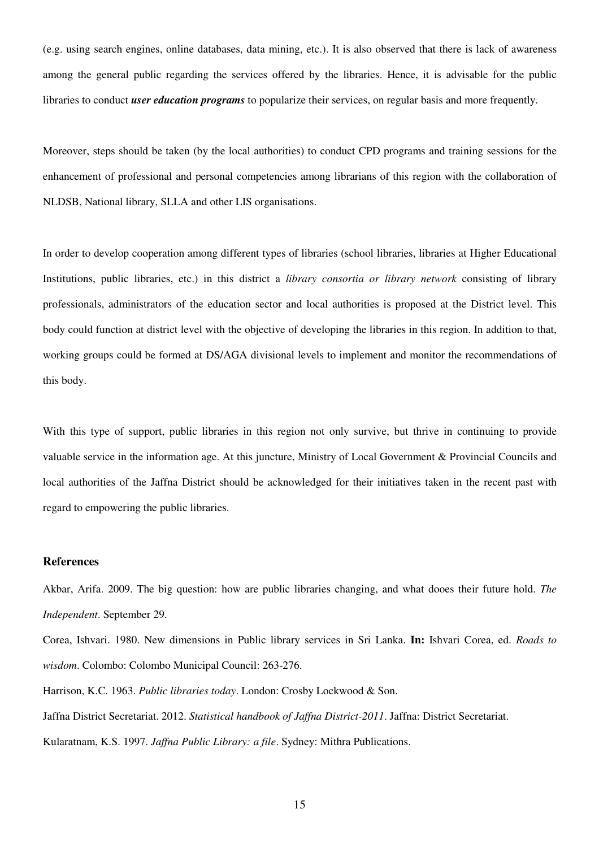(e.g. using search engines, online databases, data mining, etc.). It is also observed that there is lack of awareness among the general public regarding the services offered by the libraries. Hence, it is advisable for the public libraries to conduct *user education programs* to popularize their services, on regular basis and more frequently.

Moreover, steps should be taken (by the local authorities) to conduct CPD programs and training sessions for the enhancement of professional and personal competencies among librarians of this region with the collaboration of NLDSB, National library, SLLA and other LIS organisations.

In order to develop cooperation among different types of libraries (school libraries, libraries at Higher Educational Institutions, public libraries, etc.) in this district a *library consortia or library network* consisting of library professionals, administrators of the education sector and local authorities is proposed at the District level. This body could function at district level with the objective of developing the libraries in this region. In addition to that, working groups could be formed at DS/AGA divisional levels to implement and monitor the recommendations of this body.

With this type of support, public libraries in this region not only survive, but thrive in continuing to provide valuable service in the information age. At this juncture, Ministry of Local Government & Provincial Councils and local authorities of the Jaffna District should be acknowledged for their initiatives taken in the recent past with regard to empowering the public libraries.

## **References**

Akbar, Arifa. 2009. The big question: how are public libraries changing, and what dooes their future hold. *The Independent*. September 29.

Corea, Ishvari. 1980. New dimensions in Public library services in Sri Lanka. **In:** Ishvari Corea, ed. *Roads to wisdom*. Colombo: Colombo Municipal Council: 263-276.

Harrison, K.C. 1963. *Public libraries today*. London: Crosby Lockwood & Son. Jaffna District Secretariat. 2012. *Statistical handbook of Jaffna District-2011*. Jaffna: District Secretariat.

Kularatnam, K.S. 1997. *Jaffna Public Library: a file*. Sydney: Mithra Publications.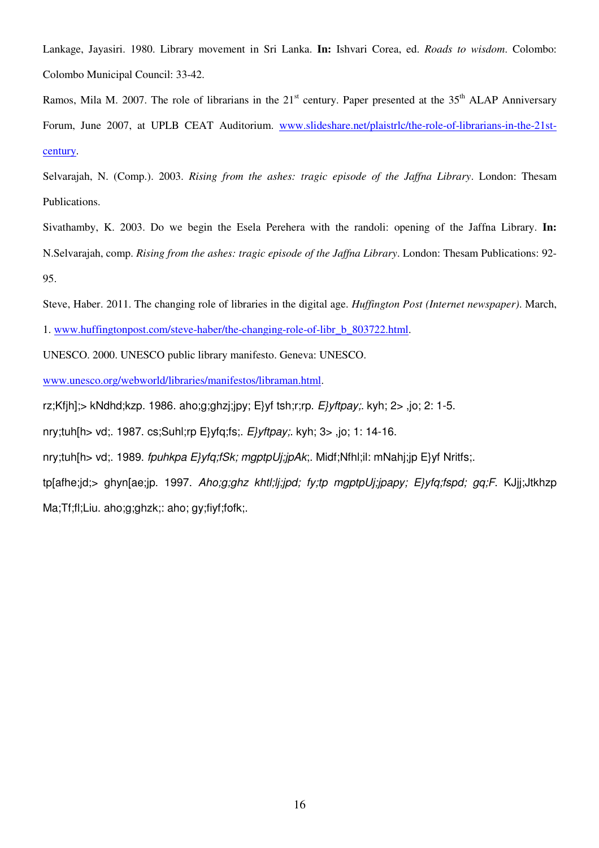Lankage, Jayasiri. 1980. Library movement in Sri Lanka. **In:** Ishvari Corea, ed. *Roads to wisdom*. Colombo: Colombo Municipal Council: 33-42.

Ramos, Mila M. 2007. The role of librarians in the  $21<sup>st</sup>$  century. Paper presented at the  $35<sup>th</sup>$  ALAP Anniversary Forum, June 2007, at UPLB CEAT Auditorium. www.slideshare.net/plaistrlc/the-role-of-librarians-in-the-21stcentury.

Selvarajah, N. (Comp.). 2003. *Rising from the ashes: tragic episode of the Jaffna Library*. London: Thesam Publications.

Sivathamby, K. 2003. Do we begin the Esela Perehera with the randoli: opening of the Jaffna Library. **In:**  N.Selvarajah, comp. *Rising from the ashes: tragic episode of the Jaffna Library*. London: Thesam Publications: 92- 95.

Steve, Haber. 2011. The changing role of libraries in the digital age. *Huffington Post (Internet newspaper)*. March,

1. www.huffingtonpost.com/steve-haber/the-changing-role-of-libr\_b\_803722.html.

UNESCO. 2000. UNESCO public library manifesto. Geneva: UNESCO.

www.unesco.org/webworld/libraries/manifestos/libraman.html.

rz;Kfjh];> kNdhd;kzp. 1986. aho;g;ghzj;jpy; E}yf tsh;r;rp.  $E$ *yftpay*;. kyh; 2>, jo; 2: 1-5.

nry;tuh[h> vd;. 1987. cs;Suhl;rp E}yfq;fs;. E}yftpay;. kyh; 3> ,jo; 1: 14-16.

nry;tuh[h> vd;. 1989. fpuhkpa E}yfq;fSk; mgptpUj;jpAk;. Midf;Nfhl;il: mNahj;jp E}yf Nritfs;.

tp[afhe;jd;> ghyn[ae;jp. 1997. Aho;g;ghz khtl;lj;jpd; fy;tp mgptpUj;jpapy; E}yfq;fspd; gq;F. KJjj;Jtkhzp Ma;Tf;fl;Liu. aho;g;ghzk;: aho; gy;fiyf;fofk;.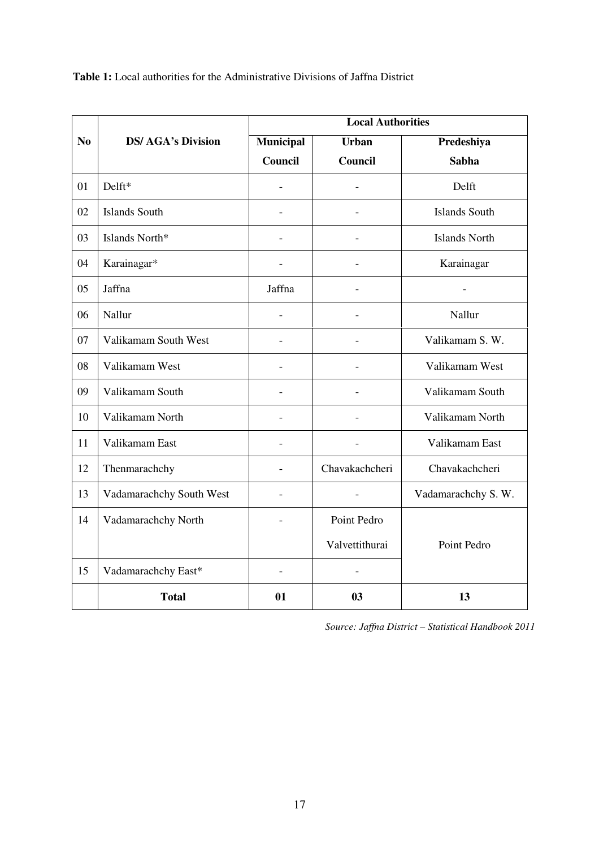**Table 1:** Local authorities for the Administrative Divisions of Jaffna District

|                | <b>DS/ AGA's Division</b> | <b>Local Authorities</b> |                |                      |  |  |  |
|----------------|---------------------------|--------------------------|----------------|----------------------|--|--|--|
| N <sub>0</sub> |                           | <b>Municipal</b>         | Urban          | Predeshiya           |  |  |  |
|                |                           | Council                  | Council        | <b>Sabha</b>         |  |  |  |
| 01             | Delft*                    |                          |                | Delft                |  |  |  |
| 02             | <b>Islands South</b>      |                          |                | <b>Islands South</b> |  |  |  |
| 03             | Islands North*            |                          |                | <b>Islands North</b> |  |  |  |
| 04             | Karainagar*               |                          |                | Karainagar           |  |  |  |
| 05             | Jaffna                    | Jaffna                   |                |                      |  |  |  |
| 06             | Nallur                    | $\overline{a}$           |                | Nallur               |  |  |  |
| 07             | Valikamam South West      |                          |                | Valikamam S. W.      |  |  |  |
| 08             | Valikamam West            |                          |                | Valikamam West       |  |  |  |
| 09             | Valikamam South           | $\overline{a}$           |                | Valikamam South      |  |  |  |
| 10             | Valikamam North           |                          |                | Valikamam North      |  |  |  |
| 11             | Valikamam East            |                          |                | Valikamam East       |  |  |  |
| 12             | Thenmarachchy             |                          | Chavakachcheri | Chavakachcheri       |  |  |  |
| 13             | Vadamarachchy South West  |                          |                | Vadamarachchy S.W.   |  |  |  |
| 14             | Vadamarachchy North       |                          | Point Pedro    |                      |  |  |  |
|                |                           |                          | Valvettithurai | Point Pedro          |  |  |  |
| 15             | Vadamarachchy East*       |                          |                |                      |  |  |  |
|                | <b>Total</b>              | 01                       | 03             | 13                   |  |  |  |

*Source: Jaffna District – Statistical Handbook 2011*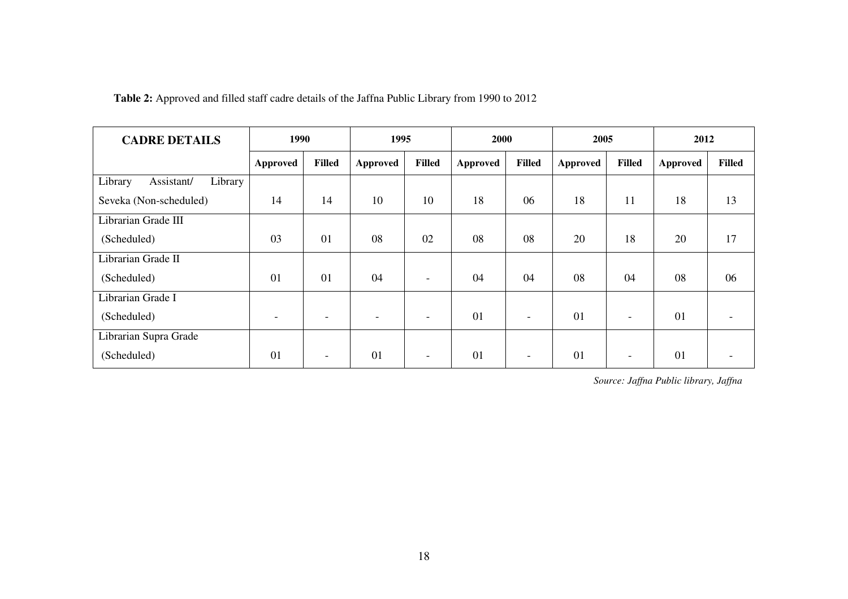**Table 2:** Approved and filled staff cadre details of the Jaffna Public Library from 1990 to 2012

| <b>CADRE DETAILS</b>             | 1990                     |                          | 1995            |               | 2000            |                          | 2005     |                          | 2012     |        |
|----------------------------------|--------------------------|--------------------------|-----------------|---------------|-----------------|--------------------------|----------|--------------------------|----------|--------|
|                                  | <b>Approved</b>          | <b>Filled</b>            | <b>Approved</b> | <b>Filled</b> | <b>Approved</b> | <b>Filled</b>            | Approved | <b>Filled</b>            | Approved | Filled |
| Library<br>Library<br>Assistant/ |                          |                          |                 |               |                 |                          |          |                          |          |        |
| Seveka (Non-scheduled)           | 14                       | 14                       | 10              | 10            | 18              | 06                       | 18       | 11                       | 18       | 13     |
| Librarian Grade III              |                          |                          |                 |               |                 |                          |          |                          |          |        |
| (Scheduled)                      | 03                       | 01                       | 08              | 02            | 08              | 08                       | 20       | 18                       | 20       | 17     |
| Librarian Grade II               |                          |                          |                 |               |                 |                          |          |                          |          |        |
| (Scheduled)                      | 01                       | 01                       | 04              |               | 04              | 04                       | 08       | 04                       | 08       | 06     |
| Librarian Grade I                |                          |                          |                 |               |                 |                          |          |                          |          |        |
| (Scheduled)                      | $\overline{\phantom{a}}$ | $\overline{\phantom{a}}$ |                 |               | 01              | $\overline{\phantom{a}}$ | 01       | $\overline{\phantom{a}}$ | 01       |        |
| Librarian Supra Grade            |                          |                          |                 |               |                 |                          |          |                          |          |        |
| (Scheduled)                      | 01                       | $\overline{\phantom{a}}$ | 01              |               | 01              | $\overline{\phantom{0}}$ | 01       | $\overline{\phantom{a}}$ | 01       |        |

*Source: Jaffna Public library, Jaffna*